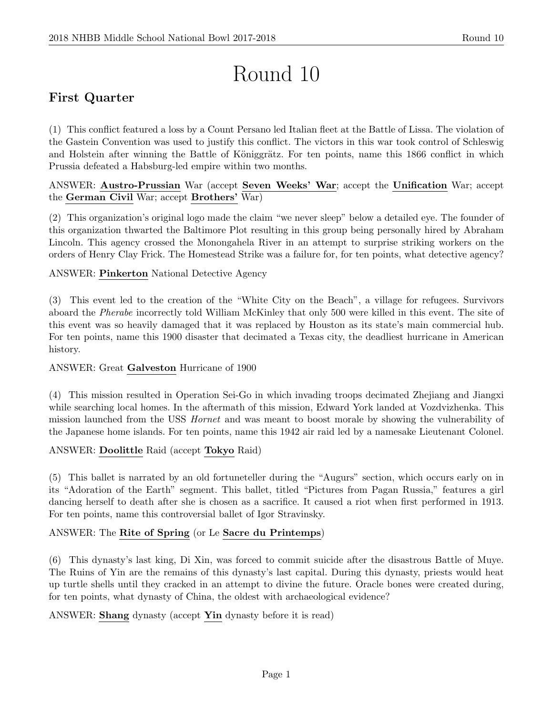# Round 10

# First Quarter

(1) This conflict featured a loss by a Count Persano led Italian fleet at the Battle of Lissa. The violation of the Gastein Convention was used to justify this conflict. The victors in this war took control of Schleswig and Holstein after winning the Battle of Königgrätz. For ten points, name this 1866 conflict in which Prussia defeated a Habsburg-led empire within two months.

# ANSWER: Austro-Prussian War (accept Seven Weeks' War; accept the Unification War; accept the German Civil War; accept Brothers' War)

(2) This organization's original logo made the claim "we never sleep" below a detailed eye. The founder of this organization thwarted the Baltimore Plot resulting in this group being personally hired by Abraham Lincoln. This agency crossed the Monongahela River in an attempt to surprise striking workers on the orders of Henry Clay Frick. The Homestead Strike was a failure for, for ten points, what detective agency?

# ANSWER: Pinkerton National Detective Agency

(3) This event led to the creation of the "White City on the Beach", a village for refugees. Survivors aboard the Pherabe incorrectly told William McKinley that only 500 were killed in this event. The site of this event was so heavily damaged that it was replaced by Houston as its state's main commercial hub. For ten points, name this 1900 disaster that decimated a Texas city, the deadliest hurricane in American history.

# ANSWER: Great Galveston Hurricane of 1900

(4) This mission resulted in Operation Sei-Go in which invading troops decimated Zhejiang and Jiangxi while searching local homes. In the aftermath of this mission, Edward York landed at Vozdvizhenka. This mission launched from the USS Hornet and was meant to boost morale by showing the vulnerability of the Japanese home islands. For ten points, name this 1942 air raid led by a namesake Lieutenant Colonel.

# ANSWER: Doolittle Raid (accept Tokyo Raid)

(5) This ballet is narrated by an old fortuneteller during the "Augurs" section, which occurs early on in its "Adoration of the Earth" segment. This ballet, titled "Pictures from Pagan Russia," features a girl dancing herself to death after she is chosen as a sacrifice. It caused a riot when first performed in 1913. For ten points, name this controversial ballet of Igor Stravinsky.

# ANSWER: The Rite of Spring (or Le Sacre du Printemps)

(6) This dynasty's last king, Di Xin, was forced to commit suicide after the disastrous Battle of Muye. The Ruins of Yin are the remains of this dynasty's last capital. During this dynasty, priests would heat up turtle shells until they cracked in an attempt to divine the future. Oracle bones were created during, for ten points, what dynasty of China, the oldest with archaeological evidence?

ANSWER: Shang dynasty (accept Yin dynasty before it is read)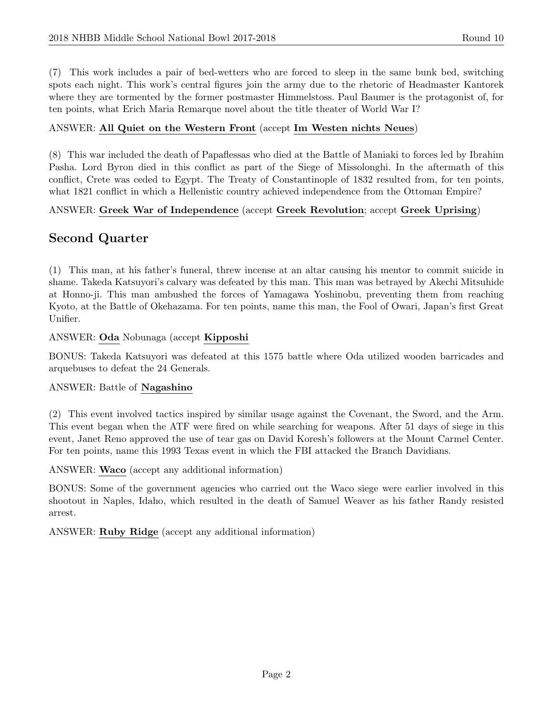(7) This work includes a pair of bed-wetters who are forced to sleep in the same bunk bed, switching spots each night. This work's central figures join the army due to the rhetoric of Headmaster Kantorek where they are tormented by the former postmaster Himmelstoss. Paul Baumer is the protagonist of, for ten points, what Erich Maria Remarque novel about the title theater of World War I?

#### ANSWER: All Quiet on the Western Front (accept Im Westen nichts Neues)

(8) This war included the death of Papaflessas who died at the Battle of Maniaki to forces led by Ibrahim Pasha. Lord Byron died in this conflict as part of the Siege of Missolonghi. In the aftermath of this conflict, Crete was ceded to Egypt. The Treaty of Constantinople of 1832 resulted from, for ten points, what 1821 conflict in which a Hellenistic country achieved independence from the Ottoman Empire?

#### ANSWER: Greek War of Independence (accept Greek Revolution; accept Greek Uprising)

# Second Quarter

(1) This man, at his father's funeral, threw incense at an altar causing his mentor to commit suicide in shame. Takeda Katsuyori's calvary was defeated by this man. This man was betrayed by Akechi Mitsuhide at Honno-ji. This man ambushed the forces of Yamagawa Yoshinobu, preventing them from reaching Kyoto, at the Battle of Okehazama. For ten points, name this man, the Fool of Owari, Japan's first Great Unifier.

#### ANSWER: Oda Nobunaga (accept Kipposhi

BONUS: Takeda Katsuyori was defeated at this 1575 battle where Oda utilized wooden barricades and arquebuses to defeat the 24 Generals.

#### ANSWER: Battle of Nagashino

(2) This event involved tactics inspired by similar usage against the Covenant, the Sword, and the Arm. This event began when the ATF were fired on while searching for weapons. After 51 days of siege in this event, Janet Reno approved the use of tear gas on David Koresh's followers at the Mount Carmel Center. For ten points, name this 1993 Texas event in which the FBI attacked the Branch Davidians.

ANSWER: Waco (accept any additional information)

BONUS: Some of the government agencies who carried out the Waco siege were earlier involved in this shootout in Naples, Idaho, which resulted in the death of Samuel Weaver as his father Randy resisted arrest.

ANSWER: Ruby Ridge (accept any additional information)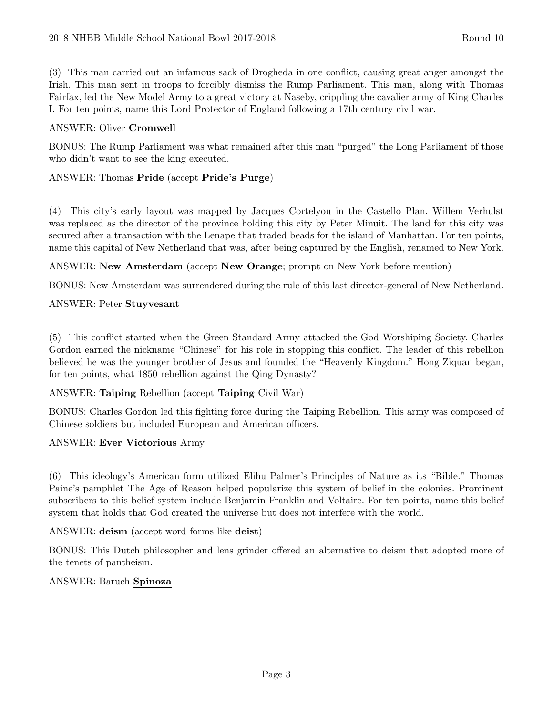(3) This man carried out an infamous sack of Drogheda in one conflict, causing great anger amongst the Irish. This man sent in troops to forcibly dismiss the Rump Parliament. This man, along with Thomas Fairfax, led the New Model Army to a great victory at Naseby, crippling the cavalier army of King Charles I. For ten points, name this Lord Protector of England following a 17th century civil war.

# ANSWER: Oliver Cromwell

BONUS: The Rump Parliament was what remained after this man "purged" the Long Parliament of those who didn't want to see the king executed.

# ANSWER: Thomas Pride (accept Pride's Purge)

(4) This city's early layout was mapped by Jacques Cortelyou in the Castello Plan. Willem Verhulst was replaced as the director of the province holding this city by Peter Minuit. The land for this city was secured after a transaction with the Lenape that traded beads for the island of Manhattan. For ten points, name this capital of New Netherland that was, after being captured by the English, renamed to New York.

ANSWER: New Amsterdam (accept New Orange; prompt on New York before mention)

BONUS: New Amsterdam was surrendered during the rule of this last director-general of New Netherland.

### ANSWER: Peter Stuyvesant

(5) This conflict started when the Green Standard Army attacked the God Worshiping Society. Charles Gordon earned the nickname "Chinese" for his role in stopping this conflict. The leader of this rebellion believed he was the younger brother of Jesus and founded the "Heavenly Kingdom." Hong Ziquan began, for ten points, what 1850 rebellion against the Qing Dynasty?

### ANSWER: Taiping Rebellion (accept Taiping Civil War)

BONUS: Charles Gordon led this fighting force during the Taiping Rebellion. This army was composed of Chinese soldiers but included European and American officers.

### ANSWER: Ever Victorious Army

(6) This ideology's American form utilized Elihu Palmer's Principles of Nature as its "Bible." Thomas Paine's pamphlet The Age of Reason helped popularize this system of belief in the colonies. Prominent subscribers to this belief system include Benjamin Franklin and Voltaire. For ten points, name this belief system that holds that God created the universe but does not interfere with the world.

### ANSWER: deism (accept word forms like deist)

BONUS: This Dutch philosopher and lens grinder offered an alternative to deism that adopted more of the tenets of pantheism.

### ANSWER: Baruch Spinoza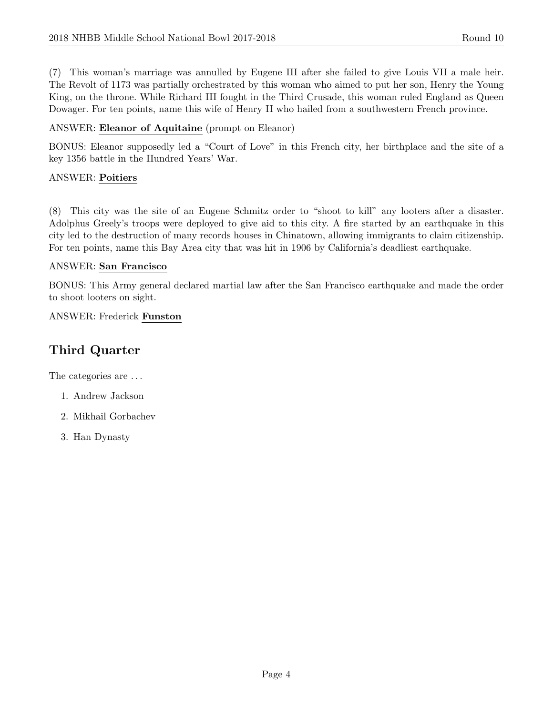(7) This woman's marriage was annulled by Eugene III after she failed to give Louis VII a male heir. The Revolt of 1173 was partially orchestrated by this woman who aimed to put her son, Henry the Young King, on the throne. While Richard III fought in the Third Crusade, this woman ruled England as Queen Dowager. For ten points, name this wife of Henry II who hailed from a southwestern French province.

# ANSWER: Eleanor of Aquitaine (prompt on Eleanor)

BONUS: Eleanor supposedly led a "Court of Love" in this French city, her birthplace and the site of a key 1356 battle in the Hundred Years' War.

# ANSWER: Poitiers

(8) This city was the site of an Eugene Schmitz order to "shoot to kill" any looters after a disaster. Adolphus Greely's troops were deployed to give aid to this city. A fire started by an earthquake in this city led to the destruction of many records houses in Chinatown, allowing immigrants to claim citizenship. For ten points, name this Bay Area city that was hit in 1906 by California's deadliest earthquake.

### ANSWER: San Francisco

BONUS: This Army general declared martial law after the San Francisco earthquake and made the order to shoot looters on sight.

### ANSWER: Frederick Funston

# Third Quarter

The categories are . . .

- 1. Andrew Jackson
- 2. Mikhail Gorbachev
- 3. Han Dynasty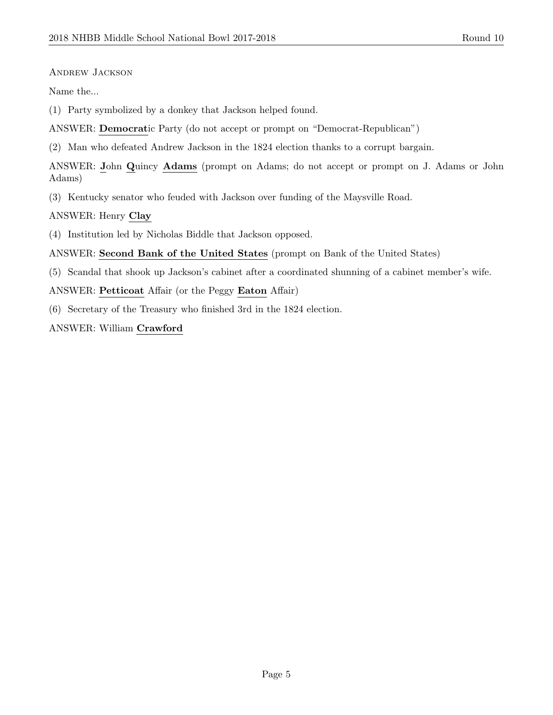#### Andrew Jackson

Name the...

(1) Party symbolized by a donkey that Jackson helped found.

ANSWER: Democratic Party (do not accept or prompt on "Democrat-Republican")

(2) Man who defeated Andrew Jackson in the 1824 election thanks to a corrupt bargain.

ANSWER: John Quincy Adams (prompt on Adams; do not accept or prompt on J. Adams or John Adams)

(3) Kentucky senator who feuded with Jackson over funding of the Maysville Road.

ANSWER: Henry Clay

(4) Institution led by Nicholas Biddle that Jackson opposed.

ANSWER: Second Bank of the United States (prompt on Bank of the United States)

(5) Scandal that shook up Jackson's cabinet after a coordinated shunning of a cabinet member's wife.

ANSWER: Petticoat Affair (or the Peggy Eaton Affair)

(6) Secretary of the Treasury who finished 3rd in the 1824 election.

ANSWER: William Crawford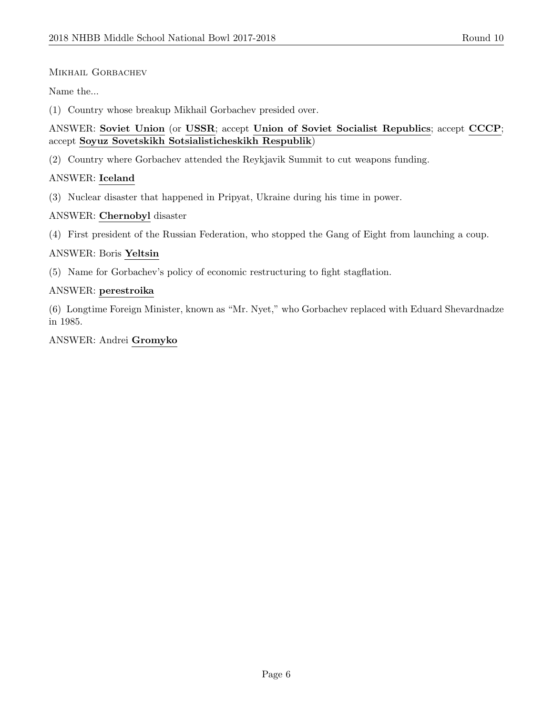### MIKHAIL GORBACHEV

Name the...

(1) Country whose breakup Mikhail Gorbachev presided over.

### ANSWER: Soviet Union (or USSR; accept Union of Soviet Socialist Republics; accept CCCP; accept Soyuz Sovetskikh Sotsialisticheskikh Respublik)

(2) Country where Gorbachev attended the Reykjavik Summit to cut weapons funding.

# ANSWER: Iceland

(3) Nuclear disaster that happened in Pripyat, Ukraine during his time in power.

### ANSWER: Chernobyl disaster

(4) First president of the Russian Federation, who stopped the Gang of Eight from launching a coup.

### ANSWER: Boris Yeltsin

(5) Name for Gorbachev's policy of economic restructuring to fight stagflation.

### ANSWER: perestroika

(6) Longtime Foreign Minister, known as "Mr. Nyet," who Gorbachev replaced with Eduard Shevardnadze in 1985.

### ANSWER: Andrei Gromyko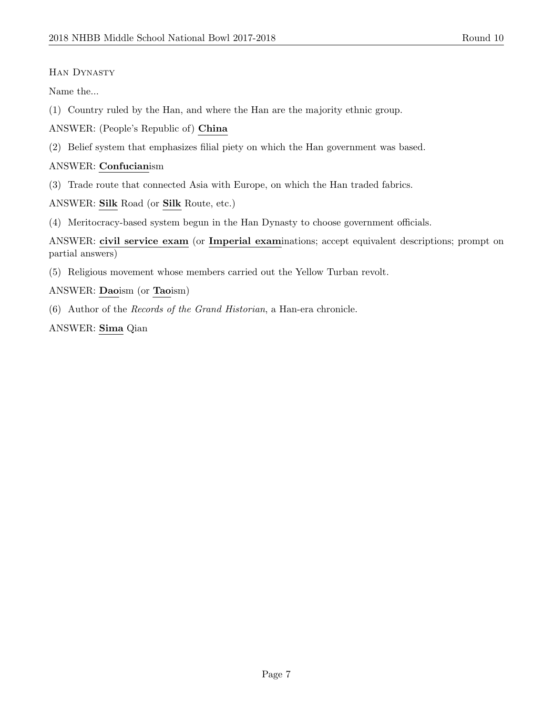# Han Dynasty

Name the...

(1) Country ruled by the Han, and where the Han are the majority ethnic group.

ANSWER: (People's Republic of) China

(2) Belief system that emphasizes filial piety on which the Han government was based.

# ANSWER: Confucianism

(3) Trade route that connected Asia with Europe, on which the Han traded fabrics.

ANSWER: Silk Road (or Silk Route, etc.)

(4) Meritocracy-based system begun in the Han Dynasty to choose government officials.

ANSWER: civil service exam (or Imperial examinations; accept equivalent descriptions; prompt on partial answers)

(5) Religious movement whose members carried out the Yellow Turban revolt.

# ANSWER: Daoism (or Taoism)

(6) Author of the Records of the Grand Historian, a Han-era chronicle.

ANSWER: Sima Qian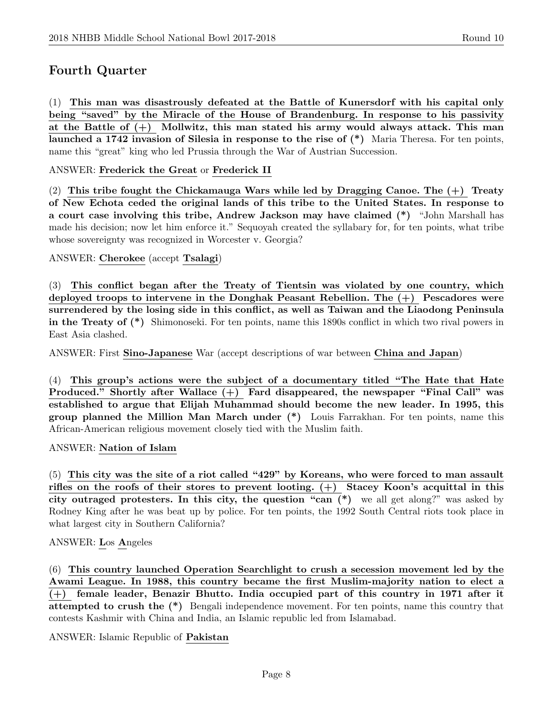# Fourth Quarter

(1) This man was disastrously defeated at the Battle of Kunersdorf with his capital only being "saved" by the Miracle of the House of Brandenburg. In response to his passivity at the Battle of  $(+)$  Mollwitz, this man stated his army would always attack. This man launched a 1742 invasion of Silesia in response to the rise of (\*) Maria Theresa. For ten points, name this "great" king who led Prussia through the War of Austrian Succession.

ANSWER: Frederick the Great or Frederick II

(2) This tribe fought the Chickamauga Wars while led by Dragging Canoe. The  $(+)$  Treaty of New Echota ceded the original lands of this tribe to the United States. In response to a court case involving this tribe, Andrew Jackson may have claimed (\*) "John Marshall has made his decision; now let him enforce it." Sequoyah created the syllabary for, for ten points, what tribe whose sovereignty was recognized in Worcester v. Georgia?

ANSWER: Cherokee (accept Tsalagi)

(3) This conflict began after the Treaty of Tientsin was violated by one country, which deployed troops to intervene in the Donghak Peasant Rebellion. The (+) Pescadores were surrendered by the losing side in this conflict, as well as Taiwan and the Liaodong Peninsula in the Treaty of (\*) Shimonoseki. For ten points, name this 1890s conflict in which two rival powers in East Asia clashed.

ANSWER: First Sino-Japanese War (accept descriptions of war between China and Japan)

(4) This group's actions were the subject of a documentary titled "The Hate that Hate Produced." Shortly after Wallace (+) Fard disappeared, the newspaper "Final Call" was established to argue that Elijah Muhammad should become the new leader. In 1995, this group planned the Million Man March under (\*) Louis Farrakhan. For ten points, name this African-American religious movement closely tied with the Muslim faith.

ANSWER: Nation of Islam

(5) This city was the site of a riot called "429" by Koreans, who were forced to man assault rifles on the roofs of their stores to prevent looting. (+) Stacey Koon's acquittal in this city outraged protesters. In this city, the question "can (\*) we all get along?" was asked by Rodney King after he was beat up by police. For ten points, the 1992 South Central riots took place in what largest city in Southern California?

### ANSWER: Los Angeles

(6) This country launched Operation Searchlight to crush a secession movement led by the Awami League. In 1988, this country became the first Muslim-majority nation to elect a (+) female leader, Benazir Bhutto. India occupied part of this country in 1971 after it attempted to crush the (\*) Bengali independence movement. For ten points, name this country that contests Kashmir with China and India, an Islamic republic led from Islamabad.

ANSWER: Islamic Republic of Pakistan